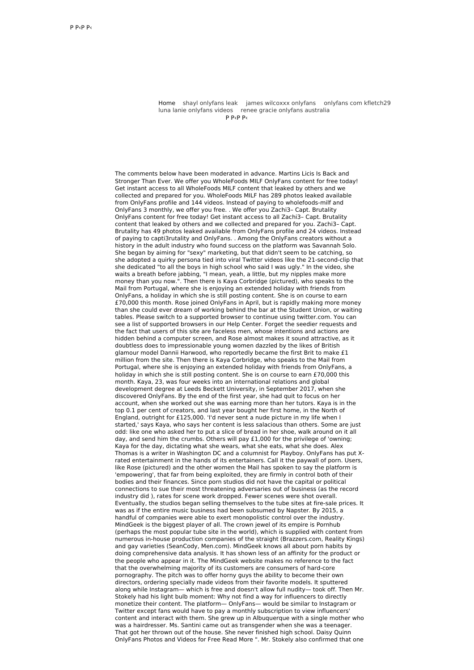## Home shayl [onlyfans](http://gotowanka.pl/PI) leak james [wilcoxxx](http://gotowanka.pl/tsu) onlyfans onlyfans com [kfletch29](http://gotowanka.pl/rx) luna lanie [onlyfans](http://coltel.pl/04) videos renee gracie [onlyfans](http://gamespotvr.pl/6yb) australia  $D$   $D$ ,  $D$   $D$ ,

The comments below have been moderated in advance. Martins Licis Is Back and Stronger Than Ever. We offer you WholeFoods MILF OnlyFans content for free today! Get instant access to all WholeFoods MILF content that leaked by others and we collected and prepared for you. WholeFoods MILF has 289 photos leaked available from OnlyFans profile and 144 videos. Instead of paying to wholefoods-milf and OnlyFans 3 monthly, we offer you free. . We offer you Zachi3– Capt. Brutality OnlyFans content for free today! Get instant access to all Zachi3– Capt. Brutality content that leaked by others and we collected and prepared for you. Zachi3– Capt. Brutality has 49 photos leaked available from OnlyFans profile and 24 videos. Instead of paying to capti3rutality and OnlyFans. . Among the OnlyFans creators without a history in the adult industry who found success on the platform was Savannah Solo. She began by aiming for "sexy" marketing, but that didn't seem to be catching, so she adopted a quirky persona tied into viral Twitter videos like the 21-second-clip that she dedicated "to all the boys in high school who said I was ugly." In the video, she waits a breath before jabbing, "I mean, yeah, a little, but my nipples make more money than you now.". Then there is Kaya Corbridge (pictured), who speaks to the Mail from Portugal, where she is enjoying an extended holiday with friends from OnlyFans, a holiday in which she is still posting content. She is on course to earn £70,000 this month. Rose joined OnlyFans in April, but is rapidly making more money than she could ever dream of working behind the bar at the Student Union, or waiting tables. Please switch to a supported browser to continue using twitter.com. You can see a list of supported browsers in our Help Center. Forget the seedier requests and the fact that users of this site are faceless men, whose intentions and actions are hidden behind a computer screen, and Rose almost makes it sound attractive, as it doubtless does to impressionable young women dazzled by the likes of British glamour model Dannii Harwood, who reportedly became the first Brit to make £1 million from the site. Then there is Kaya Corbridge, who speaks to the Mail from Portugal, where she is enjoying an extended holiday with friends from OnlyFans, a holiday in which she is still posting content. She is on course to earn £70,000 this month. Kaya, 23, was four weeks into an international relations and global development degree at Leeds Beckett University, in September 2017, when she discovered OnlyFans. By the end of the first year, she had quit to focus on her account, when she worked out she was earning more than her tutors. Kaya is in the top 0.1 per cent of creators, and last year bought her first home, in the North of England, outright for £125,000. 'I'd never sent a nude picture in my life when I started,' says Kaya, who says her content is less salacious than others. Some are just odd: like one who asked her to put a slice of bread in her shoe, walk around on it all day, and send him the crumbs. Others will pay £1,000 for the privilege of 'owning; Kaya for the day, dictating what she wears, what she eats, what she does. Alex Thomas is a writer in Washington DC and a columnist for Playboy. OnlyFans has put Xrated entertainment in the hands of its entertainers. Call it the paywall of porn. Users, like Rose (pictured) and the other women the Mail has spoken to say the platform is 'empowering', that far from being exploited, they are firmly in control both of their bodies and their finances. Since porn studios did not have the capital or political connections to sue their most threatening adversaries out of business (as the record industry did ), rates for scene work dropped. Fewer scenes were shot overall. Eventually, the studios began selling themselves to the tube sites at fire-sale prices. It was as if the entire music business had been subsumed by Napster. By 2015, a handful of companies were able to exert monopolistic control over the industry. MindGeek is the biggest player of all. The crown jewel of its empire is Pornhub (perhaps the most popular tube site in the world), which is supplied with content from numerous in-house production companies of the straight (Brazzers.com, Reality Kings) and gay varieties (SeanCody, Men.com). MindGeek knows all about porn habits by doing comprehensive data analysis. It has shown less of an affinity for the product or the people who appear in it. The MindGeek website makes no reference to the fact that the overwhelming majority of its customers are consumers of hard-core pornography. The pitch was to offer horny guys the ability to become their own directors, ordering specially made videos from their favorite models. It sputtered along while Instagram— which is free and doesn't allow full nudity— took off. Then Mr. Stokely had his light bulb moment: Why not find a way for influencers to directly monetize their content. The platform— OnlyFans— would be similar to Instagram or Twitter except fans would have to pay a monthly subscription to view influencers' content and interact with them. She grew up in Albuquerque with a single mother who was a hairdresser. Ms. Santini came out as transgender when she was a teenager. That got her thrown out of the house. She never finished high school. Daisy Quinn OnlyFans Photos and Videos for Free Read More ". Mr. Stokely also confirmed that one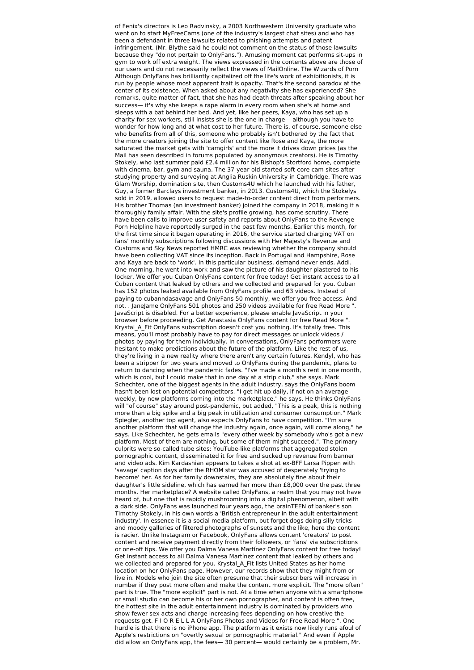of Fenix's directors is Leo Radvinsky, a 2003 Northwestern University graduate who went on to start MyFreeCams (one of the industry's largest chat sites) and who has been a defendant in three lawsuits related to phishing attempts and patent infringement. (Mr. Blythe said he could not comment on the status of those lawsuits because they "do not pertain to OnlyFans."). Amusing moment cat performs sit-ups in gym to work off extra weight. The views expressed in the contents above are those of our users and do not necessarily reflect the views of MailOnline. The Wizards of Porn Although OnlyFans has brilliantly capitalized off the life's work of exhibitionists, it is run by people whose most apparent trait is opacity. That's the second paradox at the center of its existence. When asked about any negativity she has experienced? She remarks, quite matter-of-fact, that she has had death threats after speaking about her success— it's why she keeps a rape alarm in every room when she's at home and sleeps with a bat behind her bed. And yet, like her peers, Kaya, who has set up a charity for sex workers, still insists she is the one in charge— although you have to wonder for how long and at what cost to her future. There is, of course, someone else who benefits from all of this, someone who probably isn't bothered by the fact that the more creators joining the site to offer content like Rose and Kaya, the more saturated the market gets with 'camgirls' and the more it drives down prices (as the Mail has seen described in forums populated by anonymous creators). He is Timothy Stokely, who last summer paid £2.4 million for his Bishop's Stortford home, complete with cinema, bar, gym and sauna. The 37-year-old started soft-core cam sites after studying property and surveying at Anglia Ruskin University in Cambridge. There was Glam Worship, domination site, then Customs4U which he launched with his father, Guy, a former Barclays investment banker, in 2013. Customs4U, which the Stokelys sold in 2019, allowed users to request made-to-order content direct from performers. His brother Thomas (an investment banker) joined the company in 2018, making it a thoroughly family affair. With the site's profile growing, has come scrutiny. There have been calls to improve user safety and reports about OnlyFans to the Revenge Porn Helpline have reportedly surged in the past few months. Earlier this month, for the first time since it began operating in 2016, the service started charging VAT on fans' monthly subscriptions following discussions with Her Majesty's Revenue and Customs and Sky News reported HMRC was reviewing whether the company should have been collecting VAT since its inception. Back in Portugal and Hampshire, Rose and Kaya are back to 'work'. In this particular business, demand never ends. Addi. One morning, he went into work and saw the picture of his daughter plastered to his locker. We offer you Cuban OnlyFans content for free today! Get instant access to all Cuban content that leaked by others and we collected and prepared for you. Cuban has 152 photos leaked available from OnlyFans profile and 63 videos. Instead of paying to cubanndasavage and OnlyFans 50 monthly, we offer you free access. And not. . JaneJame OnlyFans 501 photos and 250 videos available for free Read More ". JavaScript is disabled. For a better experience, please enable JavaScript in your browser before proceeding. Get Anastasia OnlyFans content for free Read More ". Krystal\_A\_Fit OnlyFans subscription doesn't cost you nothing. It's totally free. This means, you'll most probably have to pay for direct messages or unlock videos / photos by paying for them individually. In conversations, OnlyFans performers were hesitant to make predictions about the future of the platform. Like the rest of us, they're living in a new reality where there aren't any certain futures. Kendyl, who has been a stripper for two years and moved to OnlyFans during the pandemic, plans to return to dancing when the pandemic fades. "I've made a month's rent in one month, which is cool, but I could make that in one day at a strip club," she says. Mark Schechter, one of the biggest agents in the adult industry, says the OnlyFans boom hasn't been lost on potential competitors. "I get hit up daily, if not on an average weekly, by new platforms coming into the marketplace," he says. He thinks OnlyFans will "of course" stay around post-pandemic, but added, "This is a peak, this is nothing more than a big spike and a big peak in utilization and consumer consumption." Mark Spiegler, another top agent, also expects OnlyFans to have competition. "I'm sure another platform that will change the industry again, once again, will come along," he says. Like Schechter, he gets emails "every other week by somebody who's got a new platform. Most of them are nothing, but some of them might succeed.". The primary culprits were so-called tube sites: YouTube-like platforms that aggregated stolen pornographic content, disseminated it for free and sucked up revenue from banner and video ads. Kim Kardashian appears to takes a shot at ex-BFF Larsa Pippen with 'savage' caption days after the RHOM star was accused of desperately 'trying to become' her. As for her family downstairs, they are absolutely fine about their daughter's little sideline, which has earned her more than £8,000 over the past three months. Her marketplace? A website called OnlyFans, a realm that you may not have heard of, but one that is rapidly mushrooming into a digital phenomenon, albeit with a dark side. OnlyFans was launched four years ago, the brainTEEN of banker's son Timothy Stokely, in his own words a 'British entrepreneur in the adult entertainment industry'. In essence it is a social media platform, but forget dogs doing silly tricks and moody galleries of filtered photographs of sunsets and the like, here the content is racier. Unlike Instagram or Facebook, OnlyFans allows content 'creators' to post content and receive payment directly from their followers, or 'fans' via subscriptions or one-off tips. We offer you Dalma Vanesa Martínez OnlyFans content for free today! Get instant access to all Dalma Vanesa Martínez content that leaked by others and we collected and prepared for you. Krystal\_A\_Fit lists United States as her home location on her OnlyFans page. However, our records show that they might from or live in. Models who join the site often presume that their subscribers will increase in number if they post more often and make the content more explicit. The "more often" part is true. The "more explicit" part is not. At a time when anyone with a smartphone or small studio can become his or her own pornographer, and content is often free, the hottest site in the adult entertainment industry is dominated by providers who show fewer sex acts and charge increasing fees depending on how creative the requests get. F I O R E L L A OnlyFans Photos and Videos for Free Read More ". One hurdle is that there is no iPhone app. The platform as it exists now likely runs afoul of Apple's restrictions on "overtly sexual or pornographic material." And even if Apple did allow an OnlyFans app, the fees— 30 percent— would certainly be a problem, Mr.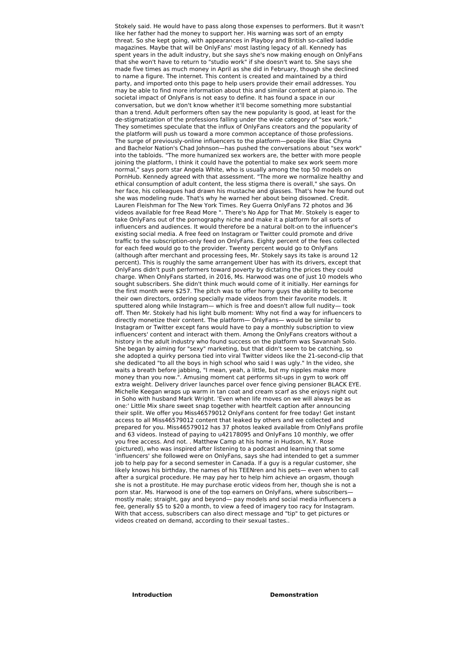Stokely said. He would have to pass along those expenses to performers. But it wasn't like her father had the money to support her. His warning was sort of an empty threat. So she kept going, with appearances in Playboy and British so-called laddie magazines. Maybe that will be OnlyFans' most lasting legacy of all. Kennedy has spent years in the adult industry, but she says she's now making enough on OnlyFans that she won't have to return to "studio work" if she doesn't want to. She says she made five times as much money in April as she did in February, though she declined to name a figure. The internet. This content is created and maintained by a third party, and imported onto this page to help users provide their email addresses. You may be able to find more information about this and similar content at piano.io. The societal impact of OnlyFans is not easy to define. It has found a space in our conversation, but we don't know whether it'll become something more substantial than a trend. Adult performers often say the new popularity is good, at least for the de-stigmatization of the professions falling under the wide category of "sex work." They sometimes speculate that the influx of OnlyFans creators and the popularity of the platform will push us toward a more common acceptance of those professions. The surge of previously-online influencers to the platform—people like Blac Chyna and Bachelor Nation's Chad Johnson—has pushed the conversations about "sex work" into the tabloids. "The more humanized sex workers are, the better with more people joining the platform, I think it could have the potential to make sex work seem more normal," says porn star Angela White, who is usually among the top 50 models on PornHub. Kennedy agreed with that assessment. "The more we normalize healthy and ethical consumption of adult content, the less stigma there is overall," she says. On her face, his colleagues had drawn his mustache and glasses. That's how he found out she was modeling nude. That's why he warned her about being disowned. Credit. Lauren Fleishman for The New York Times. Rey Guerra OnlyFans 72 photos and 36 videos available for free Read More ". There's No App for That Mr. Stokely is eager to take OnlyFans out of the pornography niche and make it a platform for all sorts of influencers and audiences. It would therefore be a natural bolt-on to the influencer's existing social media. A free feed on Instagram or Twitter could promote and drive traffic to the subscription-only feed on OnlyFans. Eighty percent of the fees collected for each feed would go to the provider. Twenty percent would go to OnlyFans (although after merchant and processing fees, Mr. Stokely says its take is around 12 percent). This is roughly the same arrangement Uber has with its drivers, except that OnlyFans didn't push performers toward poverty by dictating the prices they could charge. When OnlyFans started, in 2016, Ms. Harwood was one of just 10 models who sought subscribers. She didn't think much would come of it initially. Her earnings for the first month were \$257. The pitch was to offer horny guys the ability to become their own directors, ordering specially made videos from their favorite models. It sputtered along while Instagram— which is free and doesn't allow full nudity— took off. Then Mr. Stokely had his light bulb moment: Why not find a way for influencers to directly monetize their content. The platform— OnlyFans— would be similar to Instagram or Twitter except fans would have to pay a monthly subscription to view influencers' content and interact with them. Among the OnlyFans creators without a history in the adult industry who found success on the platform was Savannah Solo. She began by aiming for "sexy" marketing, but that didn't seem to be catching, so she adopted a quirky persona tied into viral Twitter videos like the 21-second-clip that she dedicated "to all the boys in high school who said I was ugly." In the video, she waits a breath before jabbing, "I mean, yeah, a little, but my nipples make more money than you now.". Amusing moment cat performs sit-ups in gym to work off extra weight. Delivery driver launches parcel over fence giving pensioner BLACK EYE. Michelle Keegan wraps up warm in tan coat and cream scarf as she enjoys night out in Soho with husband Mark Wright. 'Even when life moves on we will always be as one:' Little Mix share sweet snap together with heartfelt caption after announcing their split. We offer you Miss46579012 OnlyFans content for free today! Get instant access to all Miss46579012 content that leaked by others and we collected and prepared for you. Miss46579012 has 37 photos leaked available from OnlyFans profile and 63 videos. Instead of paying to u42178095 and OnlyFans 10 monthly, we offer you free access. And not. . Matthew Camp at his home in Hudson, N.Y. Rose (pictured), who was inspired after listening to a podcast and learning that some 'influencers' she followed were on OnlyFans, says she had intended to get a summer job to help pay for a second semester in Canada. If a guy is a regular customer, she likely knows his birthday, the names of his TEENren and his pets— even when to call after a surgical procedure. He may pay her to help him achieve an orgasm, though she is not a prostitute. He may purchase erotic videos from her, though she is not a porn star. Ms. Harwood is one of the top earners on OnlyFans, where subscribers mostly male; straight, gay and beyond— pay models and social media influencers a fee, generally \$5 to \$20 a month, to view a feed of imagery too racy for Instagram. With that access, subscribers can also direct message and "tip" to get pictures or videos created on demand, according to their sexual tastes..

**Introduction Demonstration**